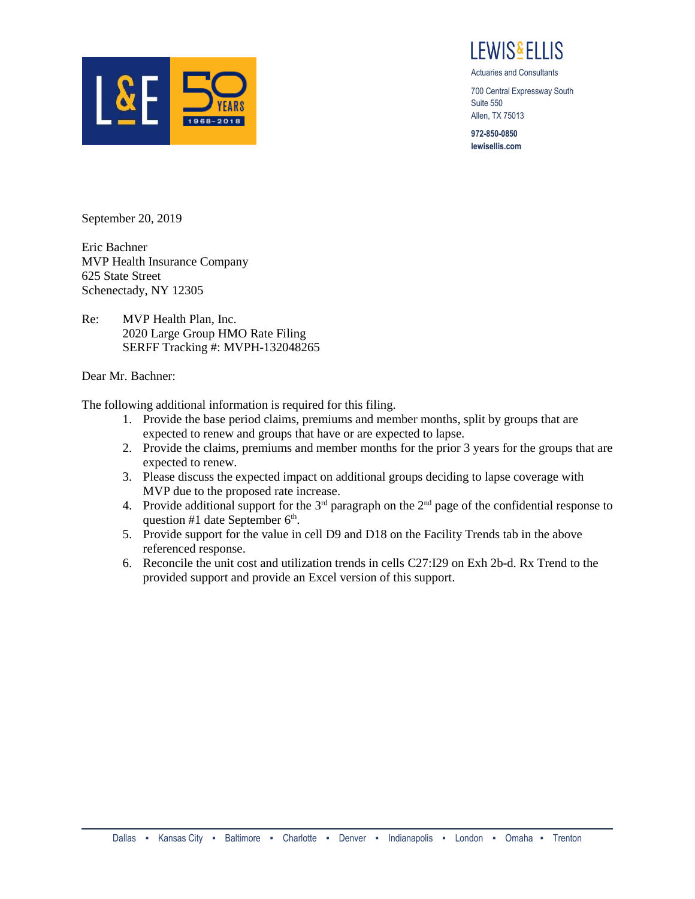

I FWIS&FI LIS

Actuaries and Consultants

700 Central Expressway South Suite 550 Allen, TX 75013

**972-850-0850 lewisellis.com**

September 20, 2019

Eric Bachner MVP Health Insurance Company 625 State Street Schenectady, NY 12305

Re: MVP Health Plan, Inc. 2020 Large Group HMO Rate Filing SERFF Tracking #: MVPH-132048265

## Dear Mr. Bachner:

The following additional information is required for this filing.

- 1. Provide the base period claims, premiums and member months, split by groups that are expected to renew and groups that have or are expected to lapse.
- 2. Provide the claims, premiums and member months for the prior 3 years for the groups that are expected to renew.
- 3. Please discuss the expected impact on additional groups deciding to lapse coverage with MVP due to the proposed rate increase.
- 4. Provide additional support for the  $3<sup>rd</sup>$  paragraph on the  $2<sup>nd</sup>$  page of the confidential response to question #1 date September  $6<sup>th</sup>$ .
- 5. Provide support for the value in cell D9 and D18 on the Facility Trends tab in the above referenced response.
- 6. Reconcile the unit cost and utilization trends in cells C27:I29 on Exh 2b-d. Rx Trend to the provided support and provide an Excel version of this support.